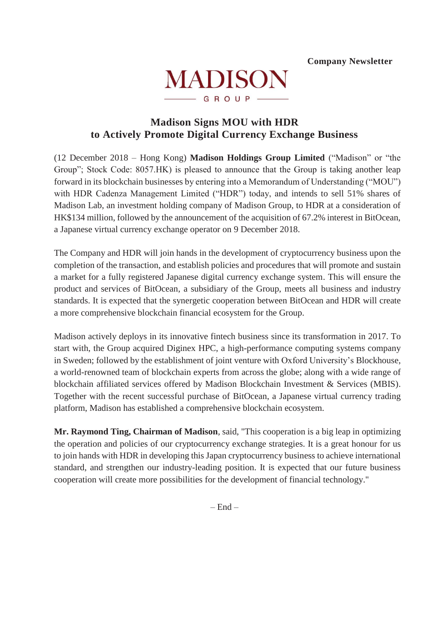

# **Madison Signs MOU with HDR to Actively Promote Digital Currency Exchange Business**

(12 December 2018 – Hong Kong) **Madison Holdings Group Limited** ("Madison" or "the Group"; Stock Code: 8057.HK) is pleased to announce that the Group is taking another leap forward in its blockchain businesses by entering into a Memorandum of Understanding ("MOU") with HDR Cadenza Management Limited ("HDR") today, and intends to sell 51% shares of Madison Lab, an investment holding company of Madison Group, to HDR at a consideration of HK\$134 million, followed by the announcement of the acquisition of 67.2% interest in BitOcean, a Japanese virtual currency exchange operator on 9 December 2018.

The Company and HDR will join hands in the development of cryptocurrency business upon the completion of the transaction, and establish policies and procedures that will promote and sustain a market for a fully registered Japanese digital currency exchange system. This will ensure the product and services of BitOcean, a subsidiary of the Group, meets all business and industry standards. It is expected that the synergetic cooperation between BitOcean and HDR will create a more comprehensive blockchain financial ecosystem for the Group.

Madison actively deploys in its innovative fintech business since its transformation in 2017. To start with, the Group acquired Diginex HPC, a high-performance computing systems company in Sweden; followed by the establishment of joint venture with Oxford University's Blockhouse, a world-renowned team of blockchain experts from across the globe; along with a wide range of blockchain affiliated services offered by Madison Blockchain Investment & Services (MBIS). Together with the recent successful purchase of BitOcean, a Japanese virtual currency trading platform, Madison has established a comprehensive blockchain ecosystem.

**Mr. Raymond Ting, Chairman of Madison**, said, "This cooperation is a big leap in optimizing the operation and policies of our cryptocurrency exchange strategies. It is a great honour for us to join hands with HDR in developing this Japan cryptocurrency business to achieve international standard, and strengthen our industry-leading position. It is expected that our future business cooperation will create more possibilities for the development of financial technology."

 $-$  End  $-$